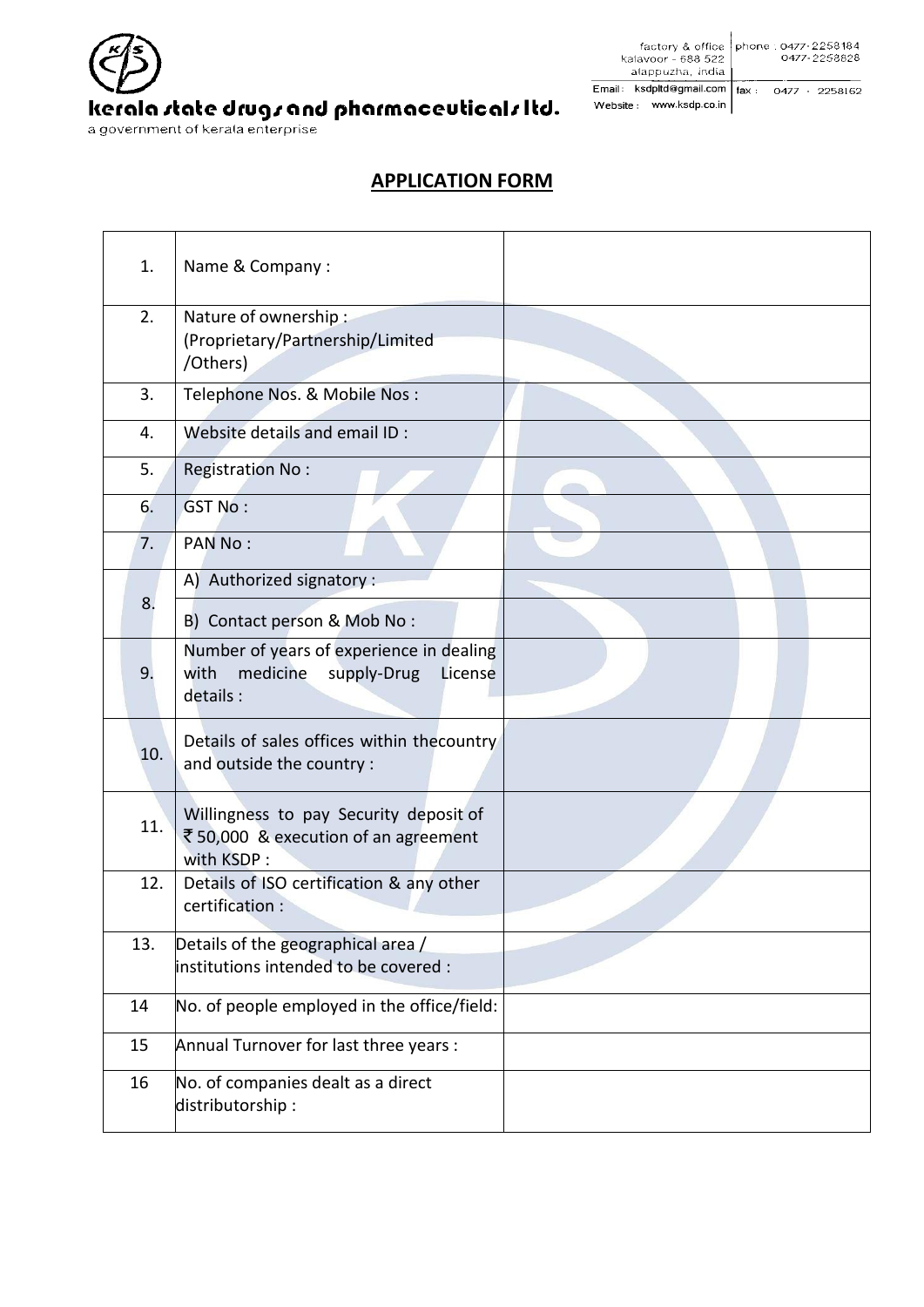

 $\begin{array}{r|l|l} \hline \text{factory & office} & \text{phone} : \text{0477-2258184} \\ \text{kalavor} - 688 & 522 & \text{0477-2258828} \\ \hline \text{alappuzha, India} & \text{fodia} & \text{0477-2258828} \\ \hline \text{ii} & & \text{kedn} & \text{formal com} & \text{fini} & \text{0477-2258162} \\ \hline \end{array}$ Email: ksdpltd@gmail.com | fax : 0477 - 2258162 Website: www.ksdp.co.in

## **APPLICATION FORM**

| 1.  | Name & Company:                                                                                    |  |
|-----|----------------------------------------------------------------------------------------------------|--|
| 2.  | Nature of ownership:<br>(Proprietary/Partnership/Limited<br>/Others)                               |  |
| 3.  | Telephone Nos. & Mobile Nos:                                                                       |  |
| 4.  | Website details and email ID :                                                                     |  |
| 5.  | Registration No:                                                                                   |  |
| 6.  | <b>GST No:</b>                                                                                     |  |
| 7.  | <b>PAN No:</b>                                                                                     |  |
| 8.  | A) Authorized signatory :                                                                          |  |
|     | B) Contact person & Mob No:                                                                        |  |
| 9.  | Number of years of experience in dealing<br>medicine<br>with<br>supply-Drug<br>License<br>details: |  |
| 10. | Details of sales offices within thecountry<br>and outside the country :                            |  |
| 11. | Willingness to pay Security deposit of<br>₹50,000 & execution of an agreement<br>with KSDP:        |  |
| 12. | Details of ISO certification & any other<br>certification:                                         |  |
| 13. | Details of the geographical area /                                                                 |  |
|     | linstitutions intended to be covered :                                                             |  |
| 14  | No. of people employed in the office/field:                                                        |  |
| 15  | Annual Turnover for last three years :                                                             |  |
| 16  | No. of companies dealt as a direct<br>distributorship:                                             |  |